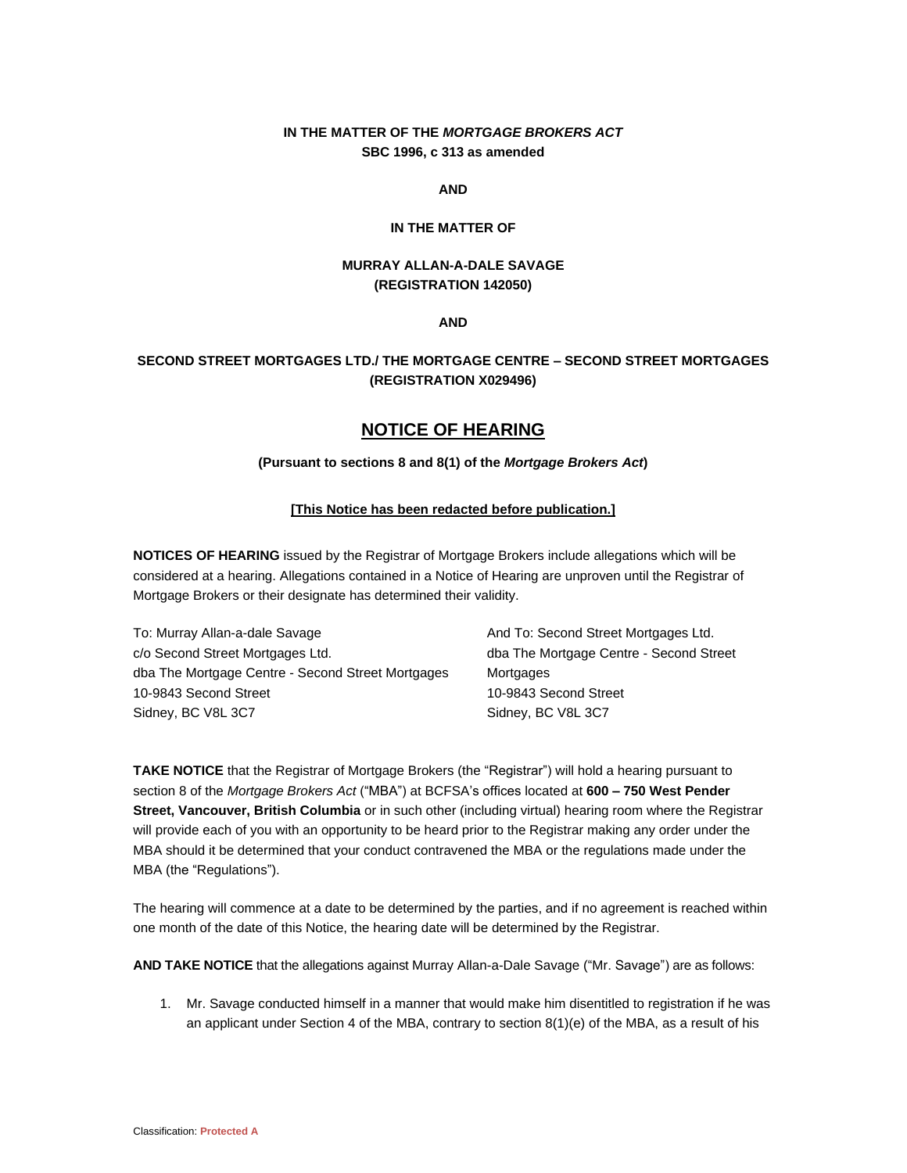## **IN THE MATTER OF THE** *MORTGAGE BROKERS ACT* **SBC 1996, c 313 as amended**

**AND**

#### **IN THE MATTER OF**

### **MURRAY ALLAN-A-DALE SAVAGE (REGISTRATION 142050)**

**AND**

## **SECOND STREET MORTGAGES LTD./ THE MORTGAGE CENTRE – SECOND STREET MORTGAGES (REGISTRATION X029496)**

# **NOTICE OF HEARING**

### **(Pursuant to sections 8 and 8(1) of the** *Mortgage Brokers Act***)**

#### **[This Notice has been redacted before publication.]**

**NOTICES OF HEARING** issued by the Registrar of Mortgage Brokers include allegations which will be considered at a hearing. Allegations contained in a Notice of Hearing are unproven until the Registrar of Mortgage Brokers or their designate has determined their validity.

To: Murray Allan-a-dale Savage c/o Second Street Mortgages Ltd. dba The Mortgage Centre - Second Street Mortgages 10-9843 Second Street Sidney, BC V8L 3C7

And To: Second Street Mortgages Ltd. dba The Mortgage Centre - Second Street **Mortgages** 10-9843 Second Street Sidney, BC V8L 3C7

**TAKE NOTICE** that the Registrar of Mortgage Brokers (the "Registrar") will hold a hearing pursuant to section 8 of the *Mortgage Brokers Act* ("MBA") at BCFSA's offices located at **600 – 750 West Pender Street, Vancouver, British Columbia** or in such other (including virtual) hearing room where the Registrar will provide each of you with an opportunity to be heard prior to the Registrar making any order under the MBA should it be determined that your conduct contravened the MBA or the regulations made under the MBA (the "Regulations").

The hearing will commence at a date to be determined by the parties, and if no agreement is reached within one month of the date of this Notice, the hearing date will be determined by the Registrar.

**AND TAKE NOTICE** that the allegations against Murray Allan-a-Dale Savage ("Mr. Savage") are as follows:

1. Mr. Savage conducted himself in a manner that would make him disentitled to registration if he was an applicant under Section 4 of the MBA, contrary to section  $8(1)(e)$  of the MBA, as a result of his